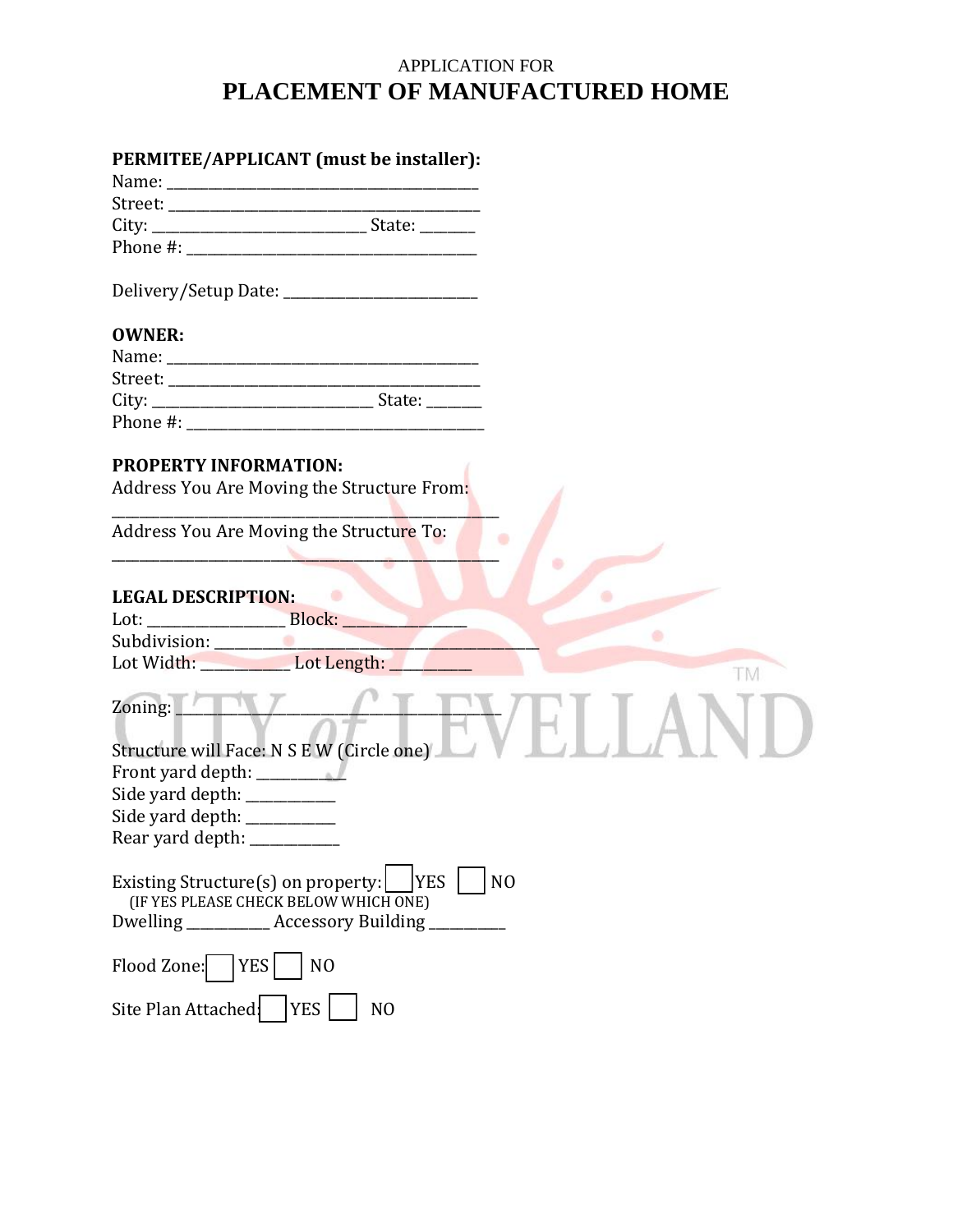## APPLICATION FOR **PLACEMENT OF MANUFACTURED HOME**

|                                                                                           | PERMITEE/APPLICANT (must be installer):          |                |
|-------------------------------------------------------------------------------------------|--------------------------------------------------|----------------|
|                                                                                           |                                                  |                |
|                                                                                           |                                                  |                |
|                                                                                           |                                                  |                |
|                                                                                           |                                                  |                |
|                                                                                           |                                                  |                |
| <b>OWNER:</b>                                                                             |                                                  |                |
| Name:                                                                                     |                                                  |                |
|                                                                                           |                                                  |                |
|                                                                                           |                                                  |                |
| Phone #:                                                                                  |                                                  |                |
| <b>PROPERTY INFORMATION:</b>                                                              |                                                  |                |
|                                                                                           | Address You Are Moving the Structure From:       |                |
| Address You Are Moving the Structure To:                                                  |                                                  |                |
|                                                                                           |                                                  |                |
| <b>LEGAL DESCRIPTION:</b>                                                                 |                                                  |                |
| Lot: Block:                                                                               |                                                  |                |
|                                                                                           |                                                  |                |
| Lot Width: Lot Length:                                                                    |                                                  | TM             |
| Zoning:                                                                                   |                                                  |                |
|                                                                                           |                                                  |                |
| Structure will Face: N S E W (Circle one)                                                 |                                                  |                |
|                                                                                           |                                                  |                |
| Side yard depth: __________                                                               |                                                  |                |
| Side yard depth:                                                                          |                                                  |                |
| Rear yard depth:                                                                          |                                                  |                |
| Existing Structure(s) on property: $\lfloor$ YES<br>(IF YES PLEASE CHECK BELOW WHICH ONE) |                                                  | N <sub>O</sub> |
|                                                                                           | Dwelling ___________ Accessory Building ________ |                |
| Flood Zone:   YES                                                                         | N <sub>O</sub>                                   |                |
| Site Plan Attached                                                                        | <b>YES</b><br>N <sub>O</sub>                     |                |